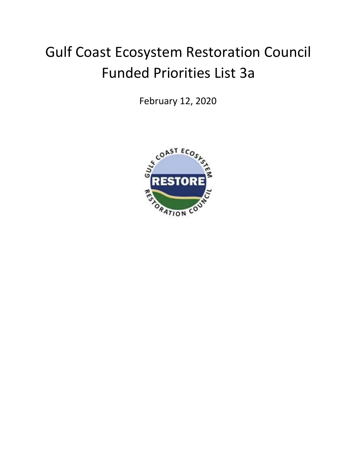# Gulf Coast Ecosystem Restoration Council Funded Priorities List 3a

February 12, 2020

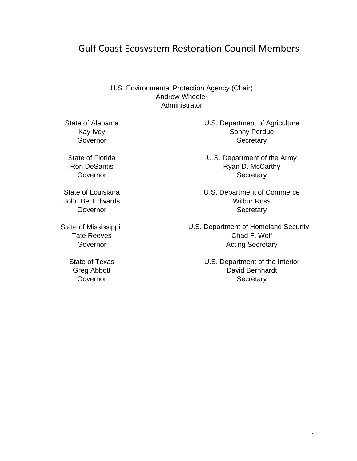## Gulf Coast Ecosystem Restoration Council Members

U.S. Environmental Protection Agency (Chair) Andrew Wheeler **Administrator** 

State of Alabama Kay Ivey Governor

State of Florida Ron DeSantis **Governor** 

State of Louisiana John Bel Edwards **Governor** 

State of Mississippi Tate Reeves Governor

> State of Texas Greg Abbott **Governor**

U.S. Department of Agriculture Sonny Perdue **Secretary** 

U.S. Department of the Army Ryan D. McCarthy **Secretary** 

U.S. Department of Commerce Wilbur Ross **Secretary** 

U.S. Department of Homeland Security Chad F. Wolf Acting Secretary

> U.S. Department of the Interior David Bernhardt **Secretary**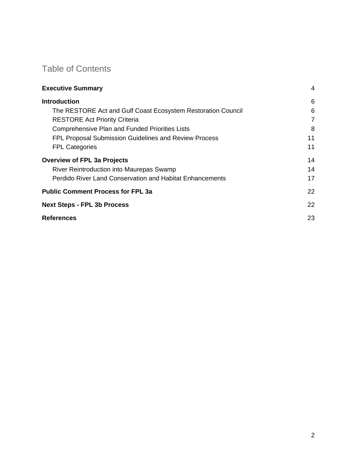# Table of Contents

| 4  |
|----|
| 6  |
| 6  |
| 7  |
| 8  |
| 11 |
| 11 |
| 14 |
| 14 |
| 17 |
| 22 |
| 22 |
| 23 |
|    |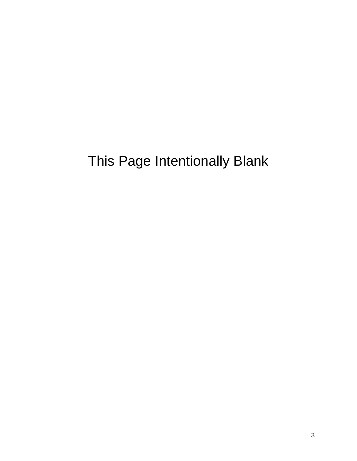This Page Intentionally Blank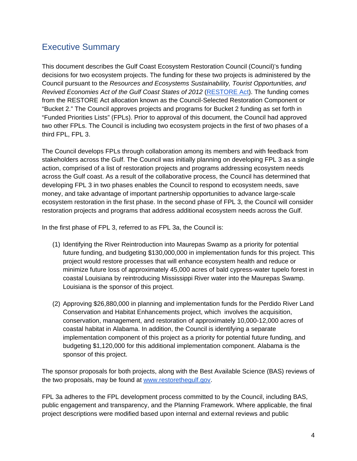# <span id="page-4-0"></span>Executive Summary

This document describes the Gulf Coast Ecosystem Restoration Council (Council)'s funding decisions for two ecosystem projects. The funding for these two projects is administered by the Council pursuant to the *Resources and Ecosystems Sustainability, Tourist Opportunities, and Revived Economies Act of the Gulf Coast States of 2012* [\(RESTORE Act\)](#page-23-1). The funding comes from the RESTORE Act allocation known as the Council-Selected Restoration Component or "Bucket 2." The Council approves projects and programs for Bucket 2 funding as set forth in "Funded Priorities Lists" (FPLs). Prior to approval of this document, the Council had approved two other FPLs. The Council is including two ecosystem projects in the first of two phases of a third FPL, FPL 3.

The Council develops FPLs through collaboration among its members and with feedback from stakeholders across the Gulf. The Council was initially planning on developing FPL 3 as a single action, comprised of a list of restoration projects and programs addressing ecosystem needs across the Gulf coast. As a result of the collaborative process, the Council has determined that developing FPL 3 in two phases enables the Council to respond to ecosystem needs, save money, and take advantage of important partnership opportunities to advance large-scale ecosystem restoration in the first phase. In the second phase of FPL 3, the Council will consider restoration projects and programs that address additional ecosystem needs across the Gulf.

In the first phase of FPL 3, referred to as FPL 3a, the Council is:

- (1) Identifying the River Reintroduction into Maurepas Swamp as a priority for potential future funding, and budgeting \$130,000,000 in implementation funds for this project. This project would restore processes that will enhance ecosystem health and reduce or minimize future loss of approximately 45,000 acres of bald cypress-water tupelo forest in coastal Louisiana by reintroducing Mississippi River water into the Maurepas Swamp. Louisiana is the sponsor of this project.
- (2) Approving \$26,880,000 in planning and implementation funds for the Perdido River Land Conservation and Habitat Enhancements project, which involves the acquisition, conservation, management, and restoration of approximately 10,000-12,000 acres of coastal habitat in Alabama. In addition, the Council is identifying a separate implementation component of this project as a priority for potential future funding, and budgeting \$1,120,000 for this additional implementation component. Alabama is the sponsor of this project.

The sponsor proposals for both projects, along with the Best Available Science (BAS) reviews of the two proposals, may be found at [www.restorethegulf.gov.](https://restorethegulf.gov/)

FPL 3a adheres to the FPL development process committed to by the Council, including BAS, public engagement and transparency, and the Planning Framework. Where applicable, the final project descriptions were modified based upon internal and external reviews and public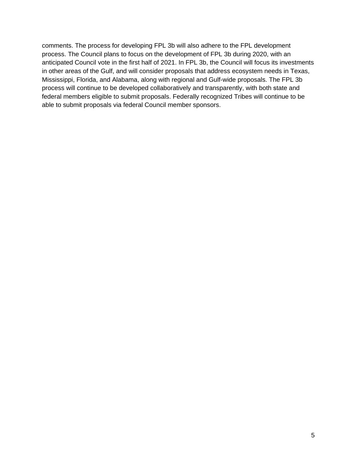comments. The process for developing FPL 3b will also adhere to the FPL development process. The Council plans to focus on the development of FPL 3b during 2020, with an anticipated Council vote in the first half of 2021. In FPL 3b, the Council will focus its investments in other areas of the Gulf, and will consider proposals that address ecosystem needs in Texas, Mississippi, Florida, and Alabama, along with regional and Gulf-wide proposals. The FPL 3b process will continue to be developed collaboratively and transparently, with both state and federal members eligible to submit proposals. Federally recognized Tribes will continue to be able to submit proposals via federal Council member sponsors.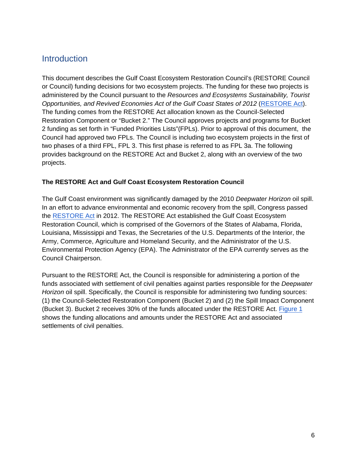### <span id="page-6-0"></span>**Introduction**

This document describes the Gulf Coast Ecosystem Restoration Council's (RESTORE Council or Council) funding decisions for two ecosystem projects. The funding for these two projects is administered by the Council pursuant to the *Resources and Ecosystems Sustainability, Tourist Opportunities, and Revived Economies Act of the Gulf Coast States of 2012* [\(RESTORE Act\)](#page-23-1). The funding comes from the RESTORE Act allocation known as the Council-Selected Restoration Component or "Bucket 2." The Council approves projects and programs for Bucket 2 funding as set forth in "Funded Priorities Lists"(FPLs). Prior to approval of this document, the Council had approved two FPLs. The Council is including two ecosystem projects in the first of two phases of a third FPL, FPL 3. This first phase is referred to as FPL 3a. The following provides background on the RESTORE Act and Bucket 2, along with an overview of the two projects.

#### <span id="page-6-1"></span>**The RESTORE Act and Gulf Coast Ecosystem Restoration Council**

The Gulf Coast environment was significantly damaged by the 2010 *Deepwater Horizon* oil spill. In an effort to advance environmental and economic recovery from the spill, Congress passed the [RESTORE Act](#page-23-1) in 2012. The RESTORE Act established the Gulf Coast Ecosystem Restoration Council, which is comprised of the Governors of the States of Alabama, Florida, Louisiana, Mississippi and Texas, the Secretaries of the U.S. Departments of the Interior, the Army, Commerce, Agriculture and Homeland Security, and the Administrator of the U.S. Environmental Protection Agency (EPA). The Administrator of the EPA currently serves as the Council Chairperson.

Pursuant to the RESTORE Act, the Council is responsible for administering a portion of the funds associated with settlement of civil penalties against parties responsible for the *Deepwater Horizon* oil spill. Specifically, the Council is responsible for administering two funding sources: (1) the Council-Selected Restoration Component (Bucket 2) and (2) the Spill Impact Component (Bucket 3). Bucket 2 receives 30% of the funds allocated under the RESTORE Act. [Figure 1](#page-7-1) shows the funding allocations and amounts under the RESTORE Act and associated settlements of civil penalties.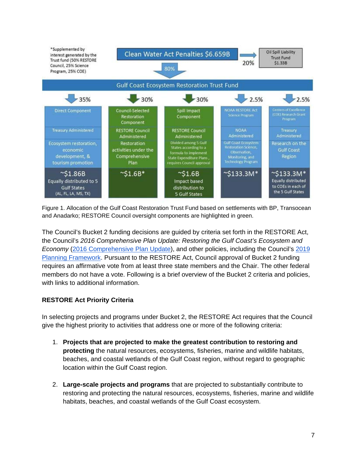

<span id="page-7-1"></span>Figure 1. Allocation of the Gulf Coast Restoration Trust Fund based on settlements with BP, Transocean and Anadarko; RESTORE Council oversight components are highlighted in green.

The Council's Bucket 2 funding decisions are guided by criteria set forth in the RESTORE Act, the Council's *2016 Comprehensive Plan Update: Restoring the Gulf Coast's Ecosystem and Economy* [\(2016 Comprehensive Plan Update\)](#page-24-0), and other policies, including the Council's 2019 [Planning Framework.](#page-24-1) Pursuant to the RESTORE Act, Council approval of Bucket 2 funding requires an affirmative vote from at least three state members and the Chair. The other federal members do not have a vote. Following is a brief overview of the Bucket 2 criteria and policies, with links to additional information.

#### <span id="page-7-0"></span>**RESTORE Act Priority Criteria**

In selecting projects and programs under Bucket 2, the RESTORE Act requires that the Council give the highest priority to activities that address one or more of the following criteria:

- 1. **Projects that are projected to make the greatest contribution to restoring and protecting** the natural resources, ecosystems, fisheries, marine and wildlife habitats, beaches, and coastal wetlands of the Gulf Coast region, without regard to geographic location within the Gulf Coast region.
- 2. **Large-scale projects and programs** that are projected to substantially contribute to restoring and protecting the natural resources, ecosystems, fisheries, marine and wildlife habitats, beaches, and coastal wetlands of the Gulf Coast ecosystem.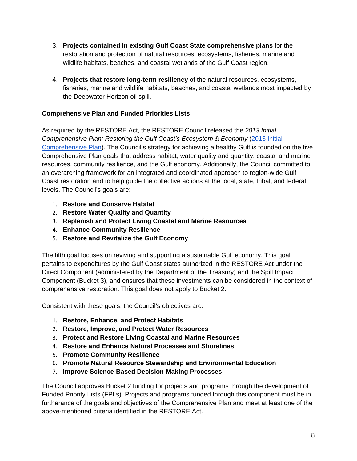- 3. **Projects contained in existing Gulf Coast State comprehensive plans** for the restoration and protection of natural resources, ecosystems, fisheries, marine and wildlife habitats, beaches, and coastal wetlands of the Gulf Coast region.
- 4. **Projects that restore long-term resiliency** of the natural resources, ecosystems, fisheries, marine and wildlife habitats, beaches, and coastal wetlands most impacted by the Deepwater Horizon oil spill.

#### <span id="page-8-0"></span>**Comprehensive Plan and Funded Priorities Lists**

As required by the RESTORE Act, the RESTORE Council released the *2013 Initial Comprehensive Plan: Restoring the Gulf Coast's Ecosystem & Economy* [\(2013 Initial](#page-24-2)  [Comprehensive Plan\)](#page-24-2). The Council's strategy for achieving a healthy Gulf is founded on the five Comprehensive Plan goals that address habitat, water quality and quantity, coastal and marine resources, community resilience, and the Gulf economy. Additionally, the Council committed to an overarching framework for an integrated and coordinated approach to region-wide Gulf Coast restoration and to help guide the collective actions at the local, state, tribal, and federal levels. The Council's goals are:

- 1. **Restore and Conserve Habitat**
- 2. **Restore Water Quality and Quantity**
- 3. **Replenish and Protect Living Coastal and Marine Resources**
- 4. **Enhance Community Resilience**
- 5. **Restore and Revitalize the Gulf Economy**

The fifth goal focuses on reviving and supporting a sustainable Gulf economy. This goal pertains to expenditures by the Gulf Coast states authorized in the RESTORE Act under the Direct Component (administered by the Department of the Treasury) and the Spill Impact Component (Bucket 3), and ensures that these investments can be considered in the context of comprehensive restoration. This goal does not apply to Bucket 2.

Consistent with these goals, the Council's objectives are:

- 1. **Restore, Enhance, and Protect Habitats**
- 2. **Restore, Improve, and Protect Water Resources**
- 3. **Protect and Restore Living Coastal and Marine Resources**
- 4. **Restore and Enhance Natural Processes and Shorelines**
- 5. **Promote Community Resilience**
- 6. **Promote Natural Resource Stewardship and Environmental Education**
- 7. **Improve Science-Based Decision-Making Processes**

The Council approves Bucket 2 funding for projects and programs through the development of Funded Priority Lists (FPLs). Projects and programs funded through this component must be in furtherance of the goals and objectives of the Comprehensive Plan and meet at least one of the above-mentioned criteria identified in the RESTORE Act.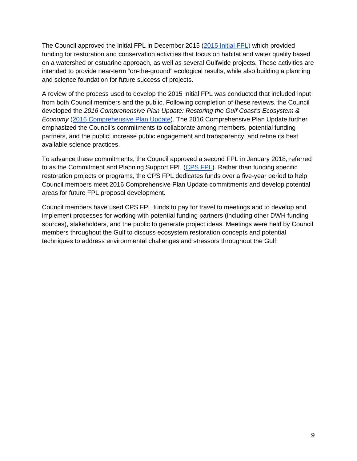The Council approved the Initial FPL in December 2015 [\(2015 Initial FPL\)](#page-24-3) which provided funding for restoration and conservation activities that focus on habitat and water quality based on a watershed or estuarine approach, as well as several Gulfwide projects. These activities are intended to provide near-term "on-the-ground" ecological results, while also building a planning and science foundation for future success of projects.

A review of the process used to develop the 2015 Initial FPL was conducted that included input from both Council members and the public. Following completion of these reviews, the Council developed the *2016 Comprehensive Plan Update: Restoring the Gulf Coast's Ecosystem & Economy* [\(2016 Comprehensive Plan Update\)](#page-24-0). The 2016 Comprehensive Plan Update further emphasized the Council's commitments to collaborate among members, potential funding partners, and the public; increase public engagement and transparency; and refine its best available science practices.

To advance these commitments, the Council approved a second FPL in January 2018, referred to as the Commitment and Planning Support FPL [\(CPS FPL\)](#page-24-4). Rather than funding specific restoration projects or programs, the CPS FPL dedicates funds over a five-year period to help Council members meet 2016 Comprehensive Plan Update commitments and develop potential areas for future FPL proposal development.

Council members have used CPS FPL funds to pay for travel to meetings and to develop and implement processes for working with potential funding partners (including other DWH funding sources), stakeholders, and the public to generate project ideas. Meetings were held by Council members throughout the Gulf to discuss ecosystem restoration concepts and potential techniques to address environmental challenges and stressors throughout the Gulf.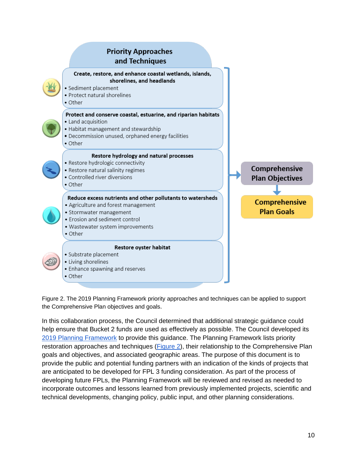

<span id="page-10-0"></span>Figure 2. The 2019 Planning Framework priority approaches and techniques can be applied to support the Comprehensive Plan objectives and goals.

In this collaboration process, the Council determined that additional strategic guidance could help ensure that Bucket 2 funds are used as effectively as possible. The Council developed its [2019 Planning Framework](#page-24-1) to provide this guidance. The Planning Framework lists priority restoration approaches and techniques [\(Figure 2\)](#page-10-0), their relationship to the Comprehensive Plan goals and objectives, and associated geographic areas. The purpose of this document is to provide the public and potential funding partners with an indication of the kinds of projects that are anticipated to be developed for FPL 3 funding consideration. As part of the process of developing future FPLs, the Planning Framework will be reviewed and revised as needed to incorporate outcomes and lessons learned from previously implemented projects, scientific and technical developments, changing policy, public input, and other planning considerations.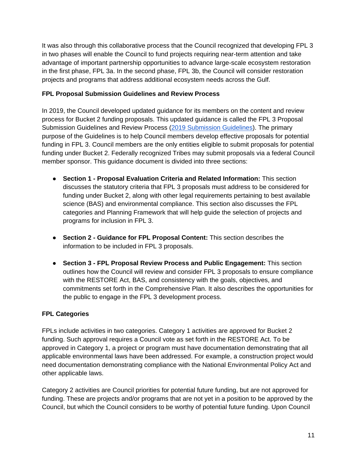It was also through this collaborative process that the Council recognized that developing FPL 3 in two phases will enable the Council to fund projects requiring near-term attention and take advantage of important partnership opportunities to advance large-scale ecosystem restoration in the first phase, FPL 3a. In the second phase, FPL 3b, the Council will consider restoration projects and programs that address additional ecosystem needs across the Gulf.

#### <span id="page-11-0"></span>**FPL Proposal Submission Guidelines and Review Process**

In 2019, the Council developed updated guidance for its members on the content and review process for Bucket 2 funding proposals. This updated guidance is called the FPL 3 Proposal Submission Guidelines and Review Process [\(2019 Submission Guidelines\)](#page-24-5). The primary purpose of the Guidelines is to help Council members develop effective proposals for potential funding in FPL 3. Council members are the only entities eligible to submit proposals for potential funding under Bucket 2. Federally recognized Tribes may submit proposals via a federal Council member sponsor. This guidance document is divided into three sections:

- **Section 1 - Proposal Evaluation Criteria and Related Information:** This section discusses the statutory criteria that FPL 3 proposals must address to be considered for funding under Bucket 2, along with other legal requirements pertaining to best available science (BAS) and environmental compliance. This section also discusses the FPL categories and Planning Framework that will help guide the selection of projects and programs for inclusion in FPL 3.
- **Section 2 - Guidance for FPL Proposal Content:** This section describes the information to be included in FPL 3 proposals.
- **Section 3 - FPL Proposal Review Process and Public Engagement:** This section outlines how the Council will review and consider FPL 3 proposals to ensure compliance with the RESTORE Act, BAS, and consistency with the goals, objectives, and commitments set forth in the Comprehensive Plan. It also describes the opportunities for the public to engage in the FPL 3 development process.

#### <span id="page-11-1"></span>**FPL Categories**

FPLs include activities in two categories. Category 1 activities are approved for Bucket 2 funding. Such approval requires a Council vote as set forth in the RESTORE Act. To be approved in Category 1, a project or program must have documentation demonstrating that all applicable environmental laws have been addressed. For example, a construction project would need documentation demonstrating compliance with the National Environmental Policy Act and other applicable laws.

Category 2 activities are Council priorities for potential future funding, but are not approved for funding. These are projects and/or programs that are not yet in a position to be approved by the Council, but which the Council considers to be worthy of potential future funding. Upon Council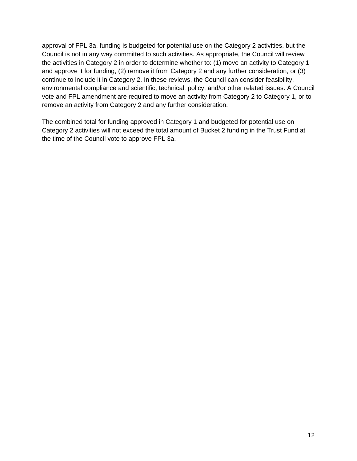approval of FPL 3a, funding is budgeted for potential use on the Category 2 activities, but the Council is not in any way committed to such activities. As appropriate, the Council will review the activities in Category 2 in order to determine whether to: (1) move an activity to Category 1 and approve it for funding, (2) remove it from Category 2 and any further consideration, or (3) continue to include it in Category 2. In these reviews, the Council can consider feasibility, environmental compliance and scientific, technical, policy, and/or other related issues. A Council vote and FPL amendment are required to move an activity from Category 2 to Category 1, or to remove an activity from Category 2 and any further consideration.

The combined total for funding approved in Category 1 and budgeted for potential use on Category 2 activities will not exceed the total amount of Bucket 2 funding in the Trust Fund at the time of the Council vote to approve FPL 3a.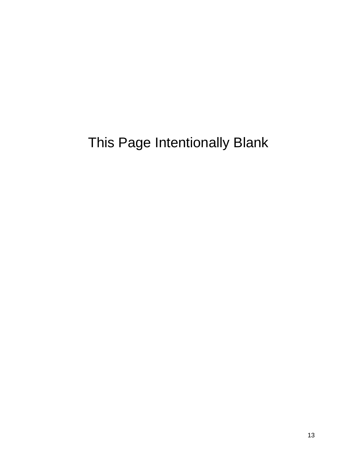# This Page Intentionally Blank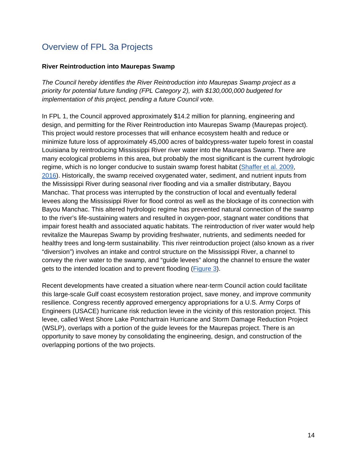# <span id="page-14-0"></span>Overview of FPL 3a Projects

#### <span id="page-14-1"></span>**River Reintroduction into Maurepas Swamp**

*The Council hereby identifies the River Reintroduction into Maurepas Swamp project as a priority for potential future funding (FPL Category 2), with \$130,000,000 budgeted for implementation of this project, pending a future Council vote.* 

In FPL 1, the Council approved approximately \$14.2 million for planning, engineering and design, and permitting for the River Reintroduction into Maurepas Swamp (Maurepas project). This project would restore processes that will enhance ecosystem health and reduce or minimize future loss of approximately 45,000 acres of baldcypress-water tupelo forest in coastal Louisiana by reintroducing Mississippi River river water into the Maurepas Swamp. There are many ecological problems in this area, but probably the most significant is the current hydrologic regime, which is no longer conducive to sustain swamp forest habitat [\(Shaffer et al. 2009,](#page-24-6) [2016\)](#page-24-7). Historically, the swamp received oxygenated water, sediment, and nutrient inputs from the Mississippi River during seasonal river flooding and via a smaller distributary, Bayou Manchac. That process was interrupted by the construction of local and eventually federal levees along the Mississippi River for flood control as well as the blockage of its connection with Bayou Manchac. This altered hydrologic regime has prevented natural connection of the swamp to the river's life-sustaining waters and resulted in oxygen-poor, stagnant water conditions that impair forest health and associated aquatic habitats. The reintroduction of river water would help revitalize the Maurepas Swamp by providing freshwater, nutrients, and sediments needed for healthy trees and long-term sustainability. This river reintroduction project (also known as a river "diversion") involves an intake and control structure on the Mississippi River, a channel to convey the river water to the swamp, and "guide levees" along the channel to ensure the water gets to the intended location and to prevent flooding [\(Figure 3\)](#page-15-0).

Recent developments have created a situation where near-term Council action could facilitate this large-scale Gulf coast ecosystem restoration project, save money, and improve community resilience. Congress recently approved emergency appropriations for a U.S. Army Corps of Engineers (USACE) hurricane risk reduction levee in the vicinity of this restoration project. This levee, called West Shore Lake Pontchartrain Hurricane and Storm Damage Reduction Project (WSLP), overlaps with a portion of the guide levees for the Maurepas project. There is an opportunity to save money by consolidating the engineering, design, and construction of the overlapping portions of the two projects.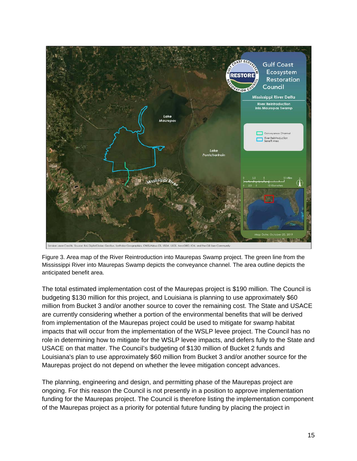

aphics, CNES/Airbus DS, USDA, USGS, AeroGRID, IGN, and the GIS User Cor

<span id="page-15-0"></span>Figure 3. Area map of the River Reintroduction into Maurepas Swamp project. The green line from the Mississippi River into Maurepas Swamp depicts the conveyance channel. The area outline depicts the anticipated benefit area.

The total estimated implementation cost of the Maurepas project is \$190 million. The Council is budgeting \$130 million for this project, and Louisiana is planning to use approximately \$60 million from Bucket 3 and/or another source to cover the remaining cost. The State and USACE are currently considering whether a portion of the environmental benefits that will be derived from implementation of the Maurepas project could be used to mitigate for swamp habitat impacts that will occur from the implementation of the WSLP levee project. The Council has no role in determining how to mitigate for the WSLP levee impacts, and defers fully to the State and USACE on that matter. The Council's budgeting of \$130 million of Bucket 2 funds and Louisiana's plan to use approximately \$60 million from Bucket 3 and/or another source for the Maurepas project do not depend on whether the levee mitigation concept advances.

The planning, engineering and design, and permitting phase of the Maurepas project are ongoing. For this reason the Council is not presently in a position to approve implementation funding for the Maurepas project. The Council is therefore listing the implementation component of the Maurepas project as a priority for potential future funding by placing the project in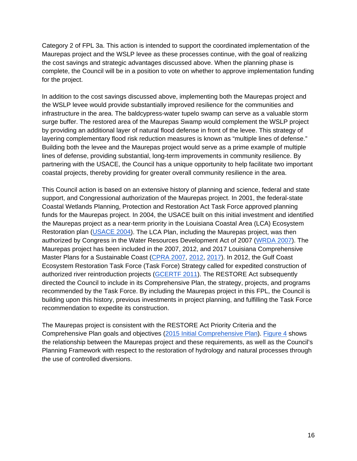Category 2 of FPL 3a. This action is intended to support the coordinated implementation of the Maurepas project and the WSLP levee as these processes continue, with the goal of realizing the cost savings and strategic advantages discussed above. When the planning phase is complete, the Council will be in a position to vote on whether to approve implementation funding for the project.

In addition to the cost savings discussed above, implementing both the Maurepas project and the WSLP levee would provide substantially improved resilience for the communities and infrastructure in the area. The baldcypress-water tupelo swamp can serve as a valuable storm surge buffer. The restored area of the Maurepas Swamp would complement the WSLP project by providing an additional layer of natural flood defense in front of the levee. This strategy of layering complementary flood risk reduction measures is known as "multiple lines of defense." Building both the levee and the Maurepas project would serve as a prime example of multiple lines of defense, providing substantial, long-term improvements in community resilience. By partnering with the USACE, the Council has a unique opportunity to help facilitate two important coastal projects, thereby providing for greater overall community resilience in the area.

This Council action is based on an extensive history of planning and science, federal and state support, and Congressional authorization of the Maurepas project. In 2001, the federal-state Coastal Wetlands Planning, Protection and Restoration Act Task Force approved planning funds for the Maurepas project. In 2004, the USACE built on this initial investment and identified the Maurepas project as a near-term priority in the Louisiana Coastal Area (LCA) Ecosystem Restoration plan [\(USACE 2004\)](#page-24-8). The LCA Plan, including the Maurepas project, was then authorized by Congress in the Water Resources Development Act of 2007 [\(WRDA 2007\)](#page-25-0). The Maurepas project has been included in the 2007, 2012, and 2017 Louisiana Comprehensive Master Plans for a Sustainable Coast [\(CPRA 2007,](#page-23-2) [2012,](#page-23-3) [2017\)](#page-23-4). In 2012, the Gulf Coast Ecosystem Restoration Task Force (Task Force) Strategy called for expedited construction of authorized river reintroduction projects [\(GCERTF 2011\)](#page-23-5). The RESTORE Act subsequently directed the Council to include in its Comprehensive Plan, the strategy, projects, and programs recommended by the Task Force. By including the Maurepas project in this FPL, the Council is building upon this history, previous investments in project planning, and fulfilling the Task Force recommendation to expedite its construction.

The Maurepas project is consistent with the RESTORE Act Priority Criteria and the Comprehensive Plan goals and objectives [\(2015 Initial Comprehensive Plan\)](#page-24-3). [Figure 4](#page-17-1) shows the relationship between the Maurepas project and these requirements, as well as the Council's Planning Framework with respect to the restoration of hydrology and natural processes through the use of controlled diversions.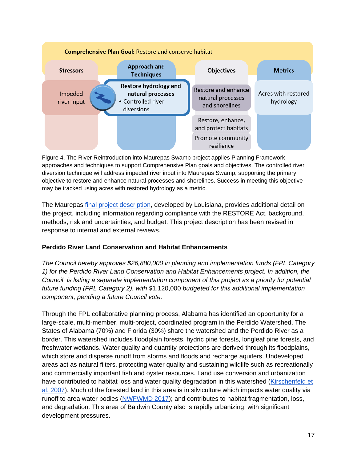

<span id="page-17-1"></span>Figure 4. The River Reintroduction into Maurepas Swamp project applies Planning Framework approaches and techniques to support Comprehensive Plan goals and objectives. The controlled river diversion technique will address impeded river input into Maurepas Swamp, supporting the primary objective to restore and enhance natural processes and shorelines. Success in meeting this objective may be tracked using acres with restored hydrology as a metric.

The Maurepas [final project description,](https://www.restorethegulf.gov/sites/default/files/LA_FPL3a_RevisedProposal__20191115.pdf) developed by Louisiana, provides additional detail on the project, including information regarding compliance with the RESTORE Act, background, methods, risk and uncertainties, and budget. This project description has been revised in response to internal and external reviews.

#### <span id="page-17-0"></span>**Perdido River Land Conservation and Habitat Enhancements**

*The Council hereby approves \$26,880,000 in planning and implementation funds (FPL Category 1) for the Perdido River Land Conservation and Habitat Enhancements project. In addition, the Council is listing a separate implementation component of this project as a priority for potential future funding (FPL Category 2), with \$*1,120,000 *budgeted for this additional implementation component, pending a future Council vote.* 

Through the FPL collaborative planning process, Alabama has identified an opportunity for a large-scale, multi-member, multi-project, coordinated program in the Perdido Watershed. The States of Alabama (70%) and Florida (30%) share the watershed and the Perdido River as a border. This watershed includes floodplain forests, hydric pine forests, longleaf pine forests, and freshwater wetlands. Water quality and quantity protections are derived through its floodplains, which store and disperse runoff from storms and floods and recharge aquifers. Undeveloped areas act as natural filters, protecting water quality and sustaining wildlife such as recreationally and commercially important fish and oyster resources. Land use conversion and urbanization have contributed to habitat loss and water quality degradation in this watershed [\(Kirschenfeld et](#page-23-6)  [al. 2007\)](#page-23-6). Much of the forested land in this area is in silviculture which impacts water quality via runoff to area water bodies [\(NWFWMD](#page-23-7) 2017); and contributes to habitat fragmentation, loss, and degradation. This area of Baldwin County also is rapidly urbanizing, with significant development pressures.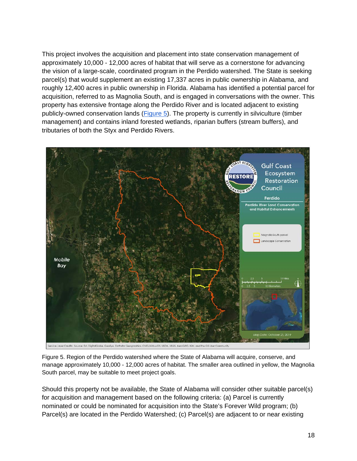This project involves the acquisition and placement into state conservation management of approximately 10,000 - 12,000 acres of habitat that will serve as a cornerstone for advancing the vision of a large-scale, coordinated program in the Perdido watershed. The State is seeking parcel(s) that would supplement an existing 17,337 acres in public ownership in Alabama, and roughly 12,400 acres in public ownership in Florida. Alabama has identified a potential parcel for acquisition, referred to as Magnolia South, and is engaged in conversations with the owner. This property has extensive frontage along the Perdido River and is located adjacent to existing publicly-owned conservation lands [\(Figure 5\)](#page-18-0). The property is currently in silviculture (timber management) and contains inland forested wetlands, riparian buffers (stream buffers), and tributaries of both the Styx and Perdido Rivers.



Service Layer Credits: Source: Est. DigitalGlobe, GeoEye, Earthstar Geographics, CNES/Airbus DS, USDA, USGS, AeroGRID, IGN, and the GIS User Community

<span id="page-18-0"></span>Figure 5. Region of the Perdido watershed where the State of Alabama will acquire, conserve, and manage approximately 10,000 - 12,000 acres of habitat. The smaller area outlined in yellow, the Magnolia South parcel, may be suitable to meet project goals.

Should this property not be available, the State of Alabama will consider other suitable parcel(s) for acquisition and management based on the following criteria: (a) Parcel is currently nominated or could be nominated for acquisition into the State's Forever Wild program; (b) Parcel(s) are located in the Perdido Watershed; (c) Parcel(s) are adjacent to or near existing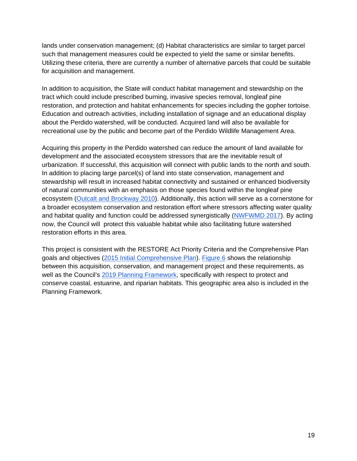lands under conservation management; (d) Habitat characteristics are similar to target parcel such that management measures could be expected to yield the same or similar benefits. Utilizing these criteria, there are currently a number of alternative parcels that could be suitable for acquisition and management.

In addition to acquisition, the State will conduct habitat management and stewardship on the tract which could include prescribed burning, invasive species removal, longleaf pine restoration, and protection and habitat enhancements for species including the gopher tortoise. Education and outreach activities, including installation of signage and an educational display about the Perdido watershed, will be conducted. Acquired land will also be available for recreational use by the public and become part of the Perdido Wildlife Management Area.

Acquiring this property in the Perdido watershed can reduce the amount of land available for development and the associated ecosystem stressors that are the inevitable result of urbanization. If successful, this acquisition will connect with public lands to the north and south. In addition to placing large parcel(s) of land into state conservation, management and stewardship will result in increased habitat connectivity and sustained or enhanced biodiversity of natural communities with an emphasis on those species found within the longleaf pine ecosystem [\(Outcalt and Brockway 2010\)](#page-23-8). Additionally, this action will serve as a cornerstone for a broader ecosystem conservation and restoration effort where stressors affecting water quality and habitat quality and function could be addressed synergistically [\(NWFWMD 2017\)](#page-23-7). By acting now, the Council will protect this valuable habitat while also facilitating future watershed restoration efforts in this area.

This project is consistent with the RESTORE Act Priority Criteria and the Comprehensive Plan goals and objectives [\(2015 Initial Comprehensive Plan\)](#page-24-3). [Figure 6](#page-20-0) shows the relationship between this acquisition, conservation, and management project and these requirements, as well as the Council's [2019 Planning Framework,](#page-24-1) specifically with respect to protect and conserve coastal, estuarine, and riparian habitats. This geographic area also is included in the Planning Framework.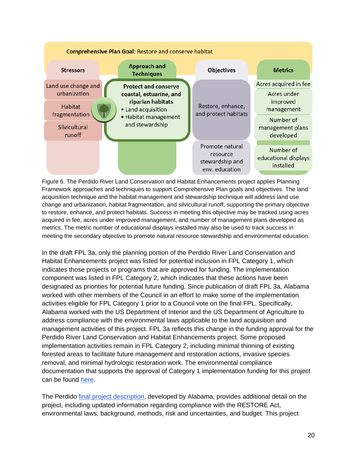

<span id="page-20-0"></span>Figure 6. The Perdido River Land Conservation and Habitat Enhancements project applies Planning Framework approaches and techniques to support Comprehensive Plan goals and objectives. The land acquisition technique and the habitat management and stewardship technique will address land use change and urbanization, habitat fragmentation, and silvicultural runoff, supporting the primary objective to restore, enhance, and protect habitats. Success in meeting this objective may be tracked using acres acquired in fee, acres under improved management, and number of management plans developed as metrics. The metric number of educational displays installed may also be used to track success in meeting the secondary objective to promote natural resource stewardship and environmental education.

In the draft FPL 3a, only the planning portion of the Perdido River Land Conservation and Habitat Enhancements project was listed for potential inclusion in FPL Category 1, which indicates those projects or programs that are approved for funding. The implementation component was listed in FPL Category 2, which indicates that these actions have been designated as priorities for potential future funding. Since publication of draft FPL 3a, Alabama worked with other members of the Council in an effort to make some of the implementation activities eligible for FPL Category 1 prior to a Council vote on the final FPL. Specifically, Alabama worked with the US Department of Interior and the US Department of Agriculture to address compliance with the environmental laws applicable to the land acquisition and management activities of this project. FPL 3a reflects this change in the funding approval for the Perdido River Land Conservation and Habitat Enhancements project. Some proposed implementation activities remain in FPL Category 2, including minimal thinning of existing forested areas to facilitate future management and restoration actions, invasive species removal, and minimal hydrologic restoration work. The environmental compliance documentation that supports the approval of Category 1 implementation funding for this project can be found [here.](https://www.restorethegulf.gov/sites/default/files/FPL%203a%20Perdido%20Combined%20Final%20EC%20materials.pdf)

The Perdido *final project description*, developed by Alabama, provides additional detail on the project, including updated information regarding compliance with the RESTORE Act, environmental laws, background, methods, risk and uncertainties, and budget. This project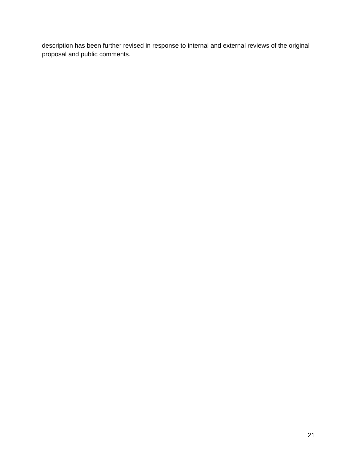description has been further revised in response to internal and external reviews of the original proposal and public comments.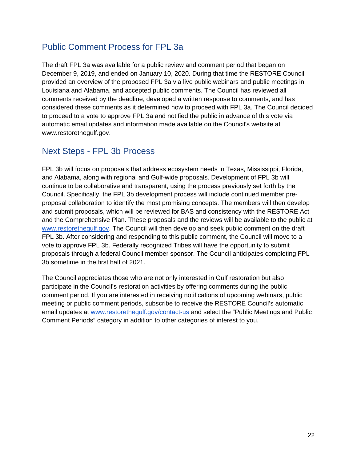## <span id="page-22-0"></span>Public Comment Process for FPL 3a

The draft FPL 3a was available for a public review and comment period that began on December 9, 2019, and ended on January 10, 2020. During that time the RESTORE Council provided an overview of the proposed FPL 3a via live public webinars and public meetings in Louisiana and Alabama, and accepted public comments. The Council has reviewed all comments received by the deadline, developed a written response to comments, and has considered these comments as it determined how to proceed with FPL 3a. The Council decided to proceed to a vote to approve FPL 3a and notified the public in advance of this vote via automatic email updates and information made available on the Council's website at www.restorethegulf.gov.

### <span id="page-22-1"></span>Next Steps - FPL 3b Process

FPL 3b will focus on proposals that address ecosystem needs in Texas, Mississippi, Florida, and Alabama, along with regional and Gulf-wide proposals. Development of FPL 3b will continue to be collaborative and transparent, using the process previously set forth by the Council. Specifically, the FPL 3b development process will include continued member preproposal collaboration to identify the most promising concepts. The members will then develop and submit proposals, which will be reviewed for BAS and consistency with the RESTORE Act and the Comprehensive Plan. These proposals and the reviews will be available to the public at [www.restorethegulf.gov.](http://www.restorethegulf.gov/) The Council will then develop and seek public comment on the draft FPL 3b. After considering and responding to this public comment, the Council will move to a vote to approve FPL 3b. Federally recognized Tribes will have the opportunity to submit proposals through a federal Council member sponsor. The Council anticipates completing FPL 3b sometime in the first half of 2021.

The Council appreciates those who are not only interested in Gulf restoration but also participate in the Council's restoration activities by offering comments during the public comment period. If you are interested in receiving notifications of upcoming webinars, public meeting or public comment periods, subscribe to receive the RESTORE Council's automatic email updates at [www.restorethegulf.gov/contact-us](http://www.restorethegulf.gov/contact-us) and select the "Public Meetings and Public Comment Periods" category in addition to other categories of interest to you.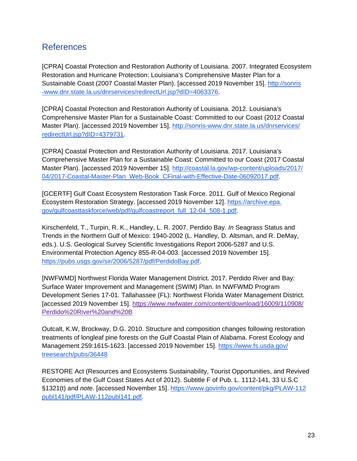## <span id="page-23-0"></span>References

<span id="page-23-2"></span>[CPRA] Coastal Protection and Restoration Authority of Louisiana. 2007. Integrated Ecosystem Restoration and Hurricane Protection: Louisiana's Comprehensive Master Plan for a Sustainable Coast (2007 Coastal Master Plan). [accessed 2019 November 15]. [http://sonris](http://sonris-www.dnr.state.la.us/dnrservices/redirectUrl.jsp?dID=4063376) [-www.dnr.state.la.us/dnrservices/redirectUrl.jsp?dID=4063376.](http://sonris-www.dnr.state.la.us/dnrservices/redirectUrl.jsp?dID=4063376)

<span id="page-23-3"></span>[CPRA] Coastal Protection and Restoration Authority of Louisiana. 2012. Louisiana's Comprehensive Master Plan for a Sustainable Coast: Committed to our Coast (2012 Coastal Master Plan). [accessed 2019 November 15]. [http://sonris-www.dnr.state.la.us/dnrservices/](http://sonris-www.dnr.state.la.us/dnrservices/redirectUrl.jsp?dID=4379731) [redirectUrl.jsp?dID=4379731.](http://sonris-www.dnr.state.la.us/dnrservices/redirectUrl.jsp?dID=4379731)

<span id="page-23-4"></span>[CPRA] Coastal Protection and Restoration Authority of Louisiana. 2017. Louisiana's Comprehensive Master Plan for a Sustainable Coast: Committed to our Coast (2017 Coastal Master Plan). [accessed 2019 November 15]. [http://coastal.la.gov/wp-content/uploads/2017/](http://coastal.la.gov/wp-content/uploads/2017/04/2017-Coastal-Master-Plan_Web-Book_CFinal-with-Effective-Date-06092017.pdf) [04/2017-Coastal-Master-Plan\\_Web-Book\\_CFinal-with-Effective-Date-06092017.pdf.](http://coastal.la.gov/wp-content/uploads/2017/04/2017-Coastal-Master-Plan_Web-Book_CFinal-with-Effective-Date-06092017.pdf)

<span id="page-23-5"></span>[GCERTF] Gulf Coast Ecosystem Restoration Task Force. 2011. Gulf of Mexico Regional Ecosystem Restoration Strategy. [accessed 2019 November 12]. [https://archive.epa.](https://archive.epa.gov/gulfcoasttaskforce/web/pdf/gulfcoastreport_full_12-04_508-1.pdf) [gov/gulfcoasttaskforce/web/pdf/gulfcoastreport\\_full\\_12-04\\_508-1.pdf.](https://archive.epa.gov/gulfcoasttaskforce/web/pdf/gulfcoastreport_full_12-04_508-1.pdf)

<span id="page-23-6"></span>Kirschenfeld, T., Turpin, R. K., Handley, L. R. 2007. Perdido Bay. *In* Seagrass Status and Trends in the Northern Gulf of Mexico: 1940-2002 (L. Handley, D. Altsman, and R. DeMay, eds.). U.S. Geological Survey Scientific Investigations Report 2006-5287 and U.S. Environmental Protection Agency 855-R-04-003. [accessed 2019 November 15]. [https://pubs.usgs.gov/sir/2006/5287/pdf/PerdidoBay.pdf.](https://pubs.usgs.gov/sir/2006/5287/pdf/PerdidoBay.pdf)

<span id="page-23-7"></span>[NWFWMD] Northwest Florida Water Management District. 2017. Perdido River and Bay: Surface Water Improvement and Management (SWIM) Plan. In NWFWMD Program Development Series 17-01. Tallahassee (FL): Northwest Florida Water Management District. [accessed 2019 November 15]. [https://www.nwfwater.com/content/download/16009/110908/](https://www.nwfwater.com/content/download/16009/110908/Perdido%20River%20and%20B) [Perdido%20River%20and%20B](https://www.nwfwater.com/content/download/16009/110908/Perdido%20River%20and%20B)

<span id="page-23-8"></span>Outcalt, K.W, Brockway, D.G. 2010. Structure and composition changes following restoration treatments of longleaf pine forests on the Gulf Coastal Plain of Alabama. Forest Ecology and Management 259:1615-1623. [accessed 2019 November 15]. [https://www.fs.usda.gov/](https://www.fs.usda.gov/treesearch/pubs/36448) [treesearch/pubs/36448](https://www.fs.usda.gov/treesearch/pubs/36448)

<span id="page-23-1"></span>RESTORE Act (Resources and Ecosystems Sustainability, Tourist Opportunities, and Revived Economies of the Gulf Coast States Act of 2012). Subtitle F of Pub. L. 1112-141, 33 U.S.C §1321(t) and *note*. [accessed November 15]. [https://www.govinfo.gov/content/pkg/PLAW-112](https://www.govinfo.gov/content/pkg/PLAW-112publ141/pdf/PLAW-112publ141.pdf) [publ141/pdf/PLAW-112publ141.pdf.](https://www.govinfo.gov/content/pkg/PLAW-112publ141/pdf/PLAW-112publ141.pdf)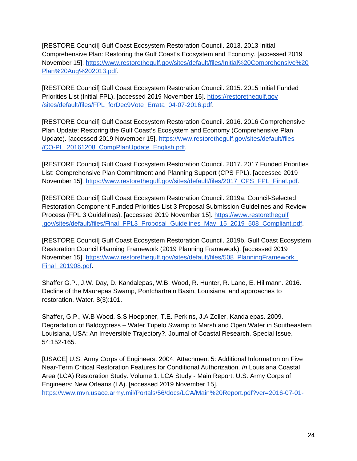<span id="page-24-2"></span>[RESTORE Council] Gulf Coast Ecosystem Restoration Council. 2013. 2013 Initial Comprehensive Plan: Restoring the Gulf Coast's Ecosystem and Economy. [accessed 2019 November 15]. [https://www.restorethegulf.gov/sites/default/files/Initial%20Comprehensive%20](https://www.restorethegulf.gov/sites/default/files/Initial%20Comprehensive%20Plan%20Aug%202013.pdf) [Plan%20Aug%202013.pdf.](https://www.restorethegulf.gov/sites/default/files/Initial%20Comprehensive%20Plan%20Aug%202013.pdf)

<span id="page-24-3"></span>[RESTORE Council] Gulf Coast Ecosystem Restoration Council. 2015. 2015 Initial Funded Priorities List (Initial FPL). [accessed 2019 November 15]. [https://restorethegulf.gov](https://restorethegulf.gov/sites/default/files/FPL_forDec9Vote_Errata_04-07-2016.pdf) [/sites/default/files/FPL\\_forDec9Vote\\_Errata\\_04-07-2016.pdf.](https://restorethegulf.gov/sites/default/files/FPL_forDec9Vote_Errata_04-07-2016.pdf)

<span id="page-24-0"></span>[RESTORE Council] Gulf Coast Ecosystem Restoration Council. 2016. 2016 Comprehensive Plan Update: Restoring the Gulf Coast's Ecosystem and Economy (Comprehensive Plan Update). [accessed 2019 November 15]. [https://www.restorethegulf.gov/sites/default/files](https://www.restorethegulf.gov/sites/default/files/CO-PL_20161208_CompPlanUpdate_English.pdf) [/CO-PL\\_20161208\\_CompPlanUpdate\\_English.pdf.](https://www.restorethegulf.gov/sites/default/files/CO-PL_20161208_CompPlanUpdate_English.pdf)

<span id="page-24-4"></span>[RESTORE Council] Gulf Coast Ecosystem Restoration Council. 2017. 2017 Funded Priorities List: Comprehensive Plan Commitment and Planning Support (CPS FPL). [accessed 2019 November 15]. [https://www.restorethegulf.gov/sites/default/files/2017\\_CPS\\_FPL\\_Final.pdf.](https://www.restorethegulf.gov/sites/default/files/2017_CPS_FPL_Final.pdf)

<span id="page-24-5"></span>[RESTORE Council] Gulf Coast Ecosystem Restoration Council. 2019a. Council-Selected Restoration Component Funded Priorities List 3 Proposal Submission Guidelines and Review Process (FPL 3 Guidelines). [accessed 2019 November 15]. [https://www.restorethegulf](https://www.restorethegulf.gov/sites/default/files/Final_FPL3_Proposal_Guidelines_May_15_2019_508_Compliant.pdf) [.gov/sites/default/files/Final\\_FPL3\\_Proposal\\_Guidelines\\_May\\_15\\_2019\\_508\\_Compliant.pdf.](https://www.restorethegulf.gov/sites/default/files/Final_FPL3_Proposal_Guidelines_May_15_2019_508_Compliant.pdf)

<span id="page-24-1"></span>[RESTORE Council] Gulf Coast Ecosystem Restoration Council. 2019b. Gulf Coast Ecosystem Restoration Council Planning Framework (2019 Planning Framework). [accessed 2019 November 15]. [https://www.restorethegulf.gov/sites/default/files/508\\_PlanningFramework\\_](https://www.restorethegulf.gov/sites/default/files/508_PlanningFramework_Final_201908.pdf) [Final\\_201908.pdf.](https://www.restorethegulf.gov/sites/default/files/508_PlanningFramework_Final_201908.pdf)

<span id="page-24-6"></span>Shaffer G.P., J.W. Day, D. Kandalepas, W.B. Wood, R. Hunter, R. Lane, E. Hillmann. 2016. Decline of the Maurepas Swamp, Pontchartrain Basin, Louisiana, and approaches to restoration. Water. 8(3):101.

<span id="page-24-7"></span>Shaffer, G.P., W.B Wood, S.S Hoeppner, T.E. Perkins, J.A Zoller, Kandalepas. 2009. Degradation of Baldcypress – Water Tupelo Swamp to Marsh and Open Water in Southeastern Louisiana, USA: An Irreversible Trajectory?. Journal of Coastal Research. Special Issue. 54:152-165.

<span id="page-24-8"></span>[USACE] U.S. Army Corps of Engineers. 2004. Attachment 5: Additional Information on Five Near-Term Critical Restoration Features for Conditional Authorization. *In* Louisiana Coastal Area (LCA) Restoration Study. Volume 1: LCA Study - Main Report. U.S. Army Corps of Engineers: New Orleans (LA). [accessed 2019 November 15]. <https://www.mvn.usace.army.mil/Portals/56/docs/LCA/Main%20Report.pdf?ver=2016-07-01->